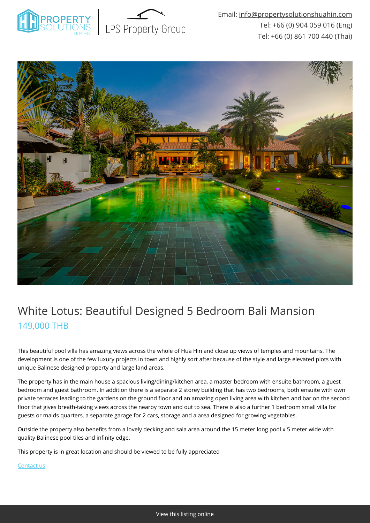



## White Lotus: Beautiful Designed 5 Bedroom Bali Mansion 149,000 THB

This beautiful pool villa has amazing views across the whole of Hua Hin and close up views of temples and mountains. The development is one of the few luxury projects in town and highly sort after because of the style and large elevated plots with unique Balinese designed property and large land areas.

The property has in the main house a spacious living/dining/kitchen area, a master bedroom with ensuite bathroom, a guest bedroom and guest bathroom. In addition there is a separate 2 storey building that has two bedrooms, both ensuite with own private terraces leading to the gardens on the ground floor and an amazing open living area with kitchen and bar on the second floor that gives breath-taking views across the nearby town and out to sea. There is also a further 1 bedroom small villa for guests or maids quarters, a separate garage for 2 cars, storage and a area designed for growing vegetables.

Outside the property also benefits from a lovely decking and sala area around the 15 meter long pool x 5 meter wide with quality Balinese pool tiles and infinity edge.

This property is in great location and should be viewed to be fully appreciated

[Contact us](mailto:info@propertysolutionshuahin.com)